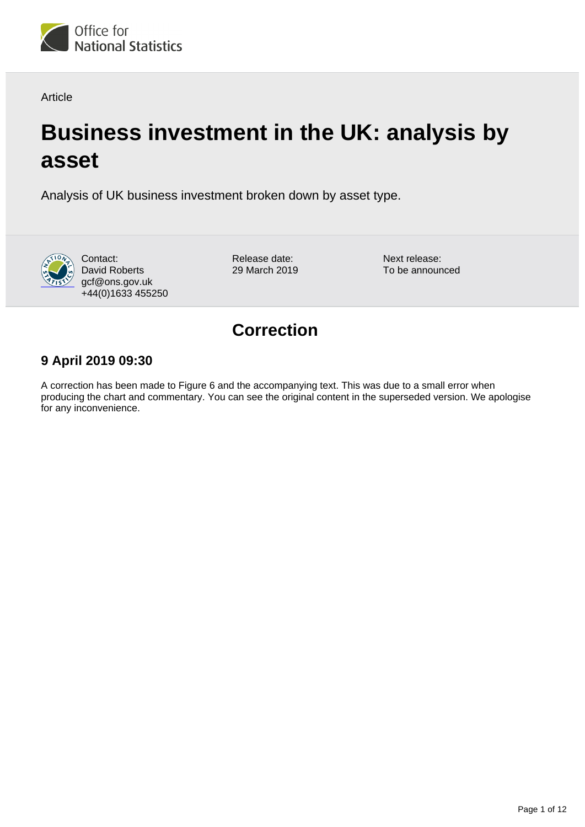

Article

# **Business investment in the UK: analysis by asset**

Analysis of UK business investment broken down by asset type.



Contact: David Roberts gcf@ons.gov.uk +44(0)1633 455250 Release date: 29 March 2019 Next release: To be announced

## **Correction**

### **9 April 2019 09:30**

A correction has been made to Figure 6 and the accompanying text. This was due to a small error when producing the chart and commentary. You can see the original content in the superseded version. We apologise for any inconvenience.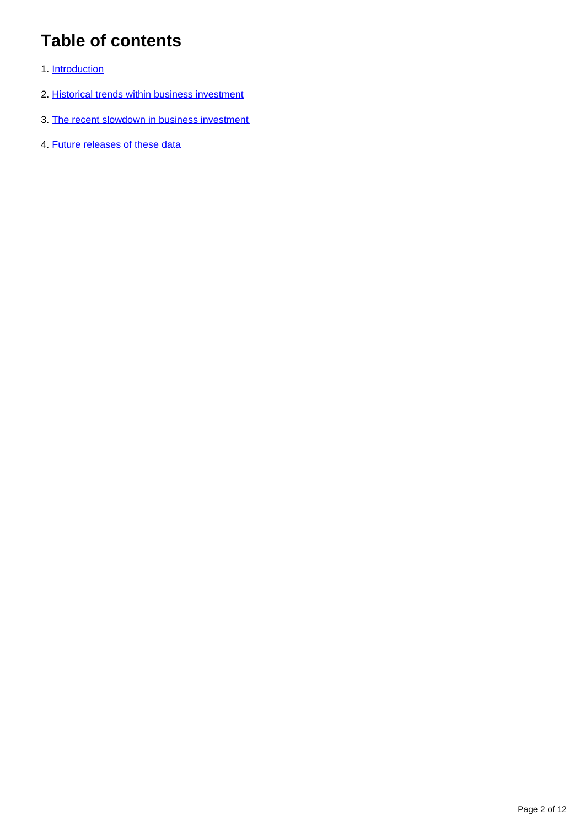## **Table of contents**

- 1. [Introduction](#page-2-0)
- 2. [Historical trends within business investment](#page-2-1)
- 3. [The recent slowdown in business investment](#page-9-0)
- 4. [Future releases of these data](#page-10-0)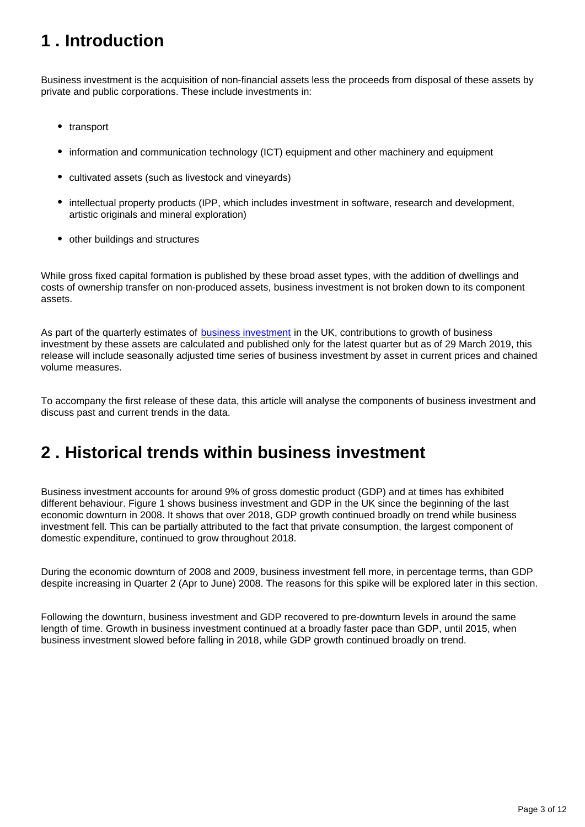## <span id="page-2-0"></span>**1 . Introduction**

Business investment is the acquisition of non-financial assets less the proceeds from disposal of these assets by private and public corporations. These include investments in:

- transport
- information and communication technology (ICT) equipment and other machinery and equipment
- cultivated assets (such as livestock and vineyards)
- intellectual property products (IPP, which includes investment in software, research and development, artistic originals and mineral exploration)
- other buildings and structures

While gross fixed capital formation is published by these broad asset types, with the addition of dwellings and costs of ownership transfer on non-produced assets, business investment is not broken down to its component assets.

As part of the quarterly estimates of **[business investment](https://www.ons.gov.uk/economy/grossdomesticproductgdp/bulletins/businessinvestment/previousReleases)** in the UK, contributions to growth of business investment by these assets are calculated and published only for the latest quarter but as of 29 March 2019, this release will include seasonally adjusted time series of business investment by asset in current prices and chained volume measures.

To accompany the first release of these data, this article will analyse the components of business investment and discuss past and current trends in the data.

## <span id="page-2-1"></span>**2 . Historical trends within business investment**

Business investment accounts for around 9% of gross domestic product (GDP) and at times has exhibited different behaviour. Figure 1 shows business investment and GDP in the UK since the beginning of the last economic downturn in 2008. It shows that over 2018, GDP growth continued broadly on trend while business investment fell. This can be partially attributed to the fact that private consumption, the largest component of domestic expenditure, continued to grow throughout 2018.

During the economic downturn of 2008 and 2009, business investment fell more, in percentage terms, than GDP despite increasing in Quarter 2 (Apr to June) 2008. The reasons for this spike will be explored later in this section.

Following the downturn, business investment and GDP recovered to pre-downturn levels in around the same length of time. Growth in business investment continued at a broadly faster pace than GDP, until 2015, when business investment slowed before falling in 2018, while GDP growth continued broadly on trend.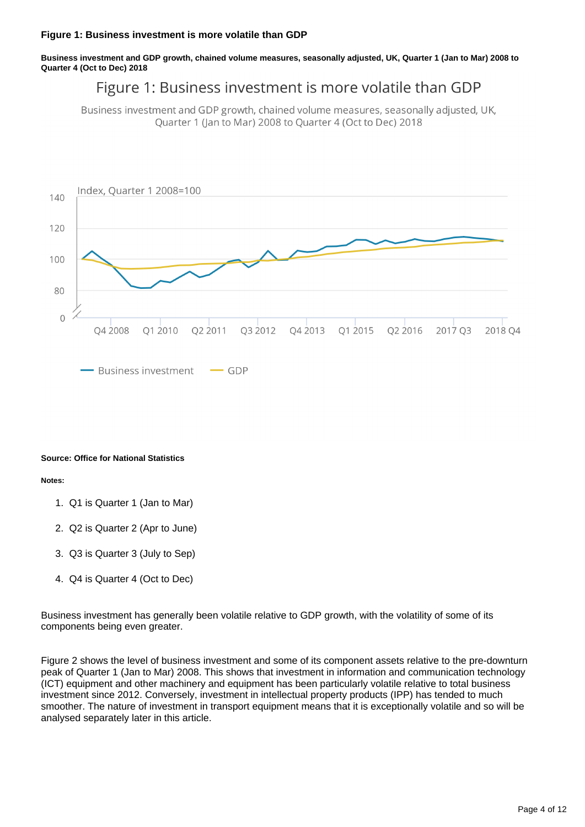**Business investment and GDP growth, chained volume measures, seasonally adjusted, UK, Quarter 1 (Jan to Mar) 2008 to Quarter 4 (Oct to Dec) 2018**

### Figure 1: Business investment is more volatile than GDP

Business investment and GDP growth, chained volume measures, seasonally adjusted, UK, Quarter 1 (Jan to Mar) 2008 to Quarter 4 (Oct to Dec) 2018



#### **Source: Office for National Statistics**

#### **Notes:**

- 1. Q1 is Quarter 1 (Jan to Mar)
- 2. Q2 is Quarter 2 (Apr to June)
- 3. Q3 is Quarter 3 (July to Sep)
- 4. Q4 is Quarter 4 (Oct to Dec)

Business investment has generally been volatile relative to GDP growth, with the volatility of some of its components being even greater.

Figure 2 shows the level of business investment and some of its component assets relative to the pre-downturn peak of Quarter 1 (Jan to Mar) 2008. This shows that investment in information and communication technology (ICT) equipment and other machinery and equipment has been particularly volatile relative to total business investment since 2012. Conversely, investment in intellectual property products (IPP) has tended to much smoother. The nature of investment in transport equipment means that it is exceptionally volatile and so will be analysed separately later in this article.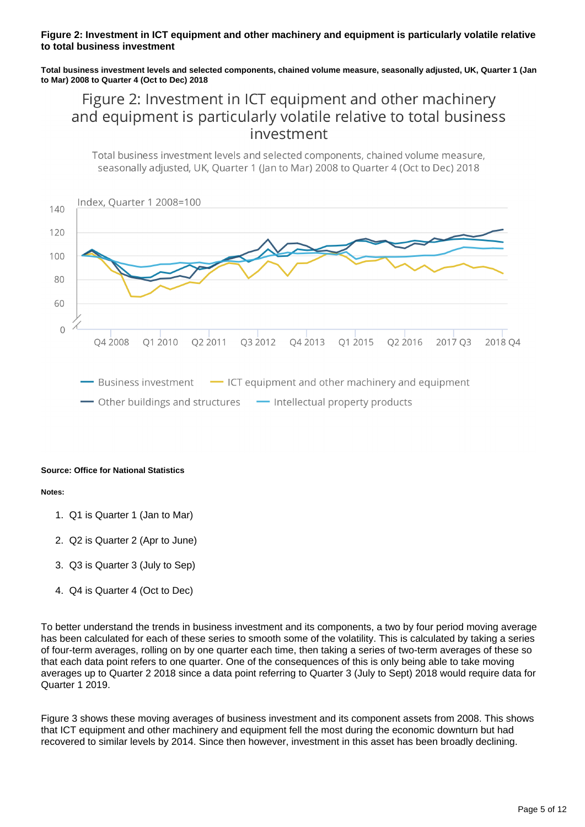#### **Figure 2: Investment in ICT equipment and other machinery and equipment is particularly volatile relative to total business investment**

**Total business investment levels and selected components, chained volume measure, seasonally adjusted, UK, Quarter 1 (Jan to Mar) 2008 to Quarter 4 (Oct to Dec) 2018**

### Figure 2: Investment in ICT equipment and other machinery and equipment is particularly volatile relative to total business investment

Total business investment levels and selected components, chained volume measure, seasonally adjusted. UK, Ouarter 1 (Jan to Mar) 2008 to Ouarter 4 (Oct to Dec) 2018



#### **Source: Office for National Statistics**

#### **Notes:**

- 1. Q1 is Quarter 1 (Jan to Mar)
- 2. Q2 is Quarter 2 (Apr to June)
- 3. Q3 is Quarter 3 (July to Sep)
- 4. Q4 is Quarter 4 (Oct to Dec)

To better understand the trends in business investment and its components, a two by four period moving average has been calculated for each of these series to smooth some of the volatility. This is calculated by taking a series of four-term averages, rolling on by one quarter each time, then taking a series of two-term averages of these so that each data point refers to one quarter. One of the consequences of this is only being able to take moving averages up to Quarter 2 2018 since a data point referring to Quarter 3 (July to Sept) 2018 would require data for Quarter 1 2019.

Figure 3 shows these moving averages of business investment and its component assets from 2008. This shows that ICT equipment and other machinery and equipment fell the most during the economic downturn but had recovered to similar levels by 2014. Since then however, investment in this asset has been broadly declining.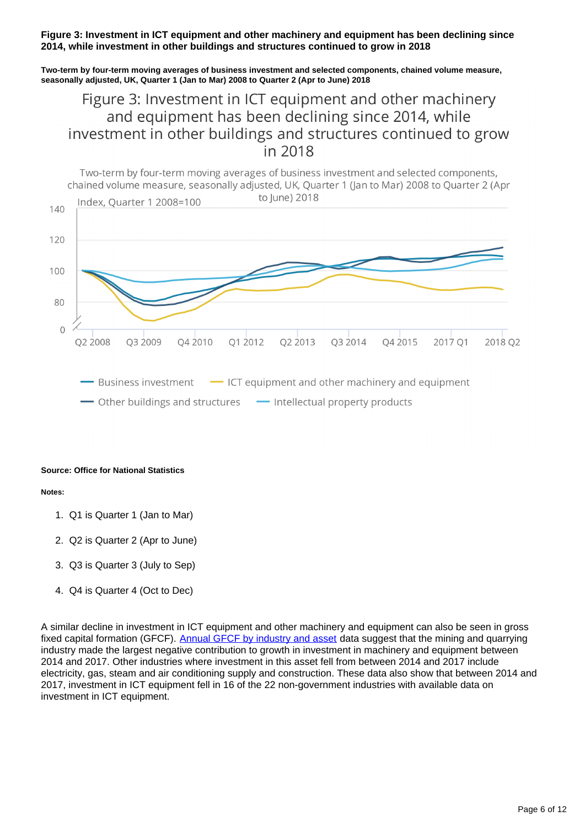#### **Figure 3: Investment in ICT equipment and other machinery and equipment has been declining since 2014, while investment in other buildings and structures continued to grow in 2018**

**Two-term by four-term moving averages of business investment and selected components, chained volume measure, seasonally adjusted, UK, Quarter 1 (Jan to Mar) 2008 to Quarter 2 (Apr to June) 2018**

### Figure 3: Investment in ICT equipment and other machinery and equipment has been declining since 2014, while investment in other buildings and structures continued to grow in 2018



#### **Source: Office for National Statistics**

#### **Notes:**

- 1. Q1 is Quarter 1 (Jan to Mar)
- 2. Q2 is Quarter 2 (Apr to June)
- 3. Q3 is Quarter 3 (July to Sep)
- 4. Q4 is Quarter 4 (Oct to Dec)

A similar decline in investment in ICT equipment and other machinery and equipment can also be seen in gross fixed capital formation (GFCF). [Annual GFCF by industry and asset](https://www.ons.gov.uk/economy/grossdomesticproductgdp/datasets/annualgrossfixedcapitalformationbyindustryandasset) data suggest that the mining and quarrying industry made the largest negative contribution to growth in investment in machinery and equipment between 2014 and 2017. Other industries where investment in this asset fell from between 2014 and 2017 include electricity, gas, steam and air conditioning supply and construction. These data also show that between 2014 and 2017, investment in ICT equipment fell in 16 of the 22 non-government industries with available data on investment in ICT equipment.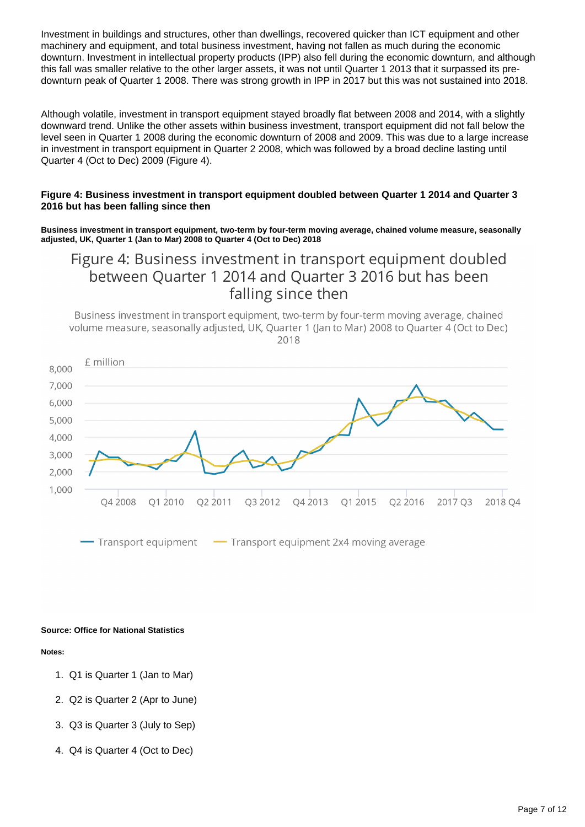Investment in buildings and structures, other than dwellings, recovered quicker than ICT equipment and other machinery and equipment, and total business investment, having not fallen as much during the economic downturn. Investment in intellectual property products (IPP) also fell during the economic downturn, and although this fall was smaller relative to the other larger assets, it was not until Quarter 1 2013 that it surpassed its predownturn peak of Quarter 1 2008. There was strong growth in IPP in 2017 but this was not sustained into 2018.

Although volatile, investment in transport equipment stayed broadly flat between 2008 and 2014, with a slightly downward trend. Unlike the other assets within business investment, transport equipment did not fall below the level seen in Quarter 1 2008 during the economic downturn of 2008 and 2009. This was due to a large increase in investment in transport equipment in Quarter 2 2008, which was followed by a broad decline lasting until Quarter 4 (Oct to Dec) 2009 (Figure 4).

#### **Figure 4: Business investment in transport equipment doubled between Quarter 1 2014 and Quarter 3 2016 but has been falling since then**

**Business investment in transport equipment, two-term by four-term moving average, chained volume measure, seasonally adjusted, UK, Quarter 1 (Jan to Mar) 2008 to Quarter 4 (Oct to Dec) 2018**

### Figure 4: Business investment in transport equipment doubled between Ouarter 1 2014 and Ouarter 3 2016 but has been falling since then

Business investment in transport equipment, two-term by four-term moving average, chained volume measure, seasonally adjusted, UK, Quarter 1 (Jan to Mar) 2008 to Quarter 4 (Oct to Dec) 2018



Transport equipment Transport equipment 2x4 moving average

#### **Source: Office for National Statistics**

#### **Notes:**

- 1. Q1 is Quarter 1 (Jan to Mar)
- 2. Q2 is Quarter 2 (Apr to June)
- 3. Q3 is Quarter 3 (July to Sep)
- 4. Q4 is Quarter 4 (Oct to Dec)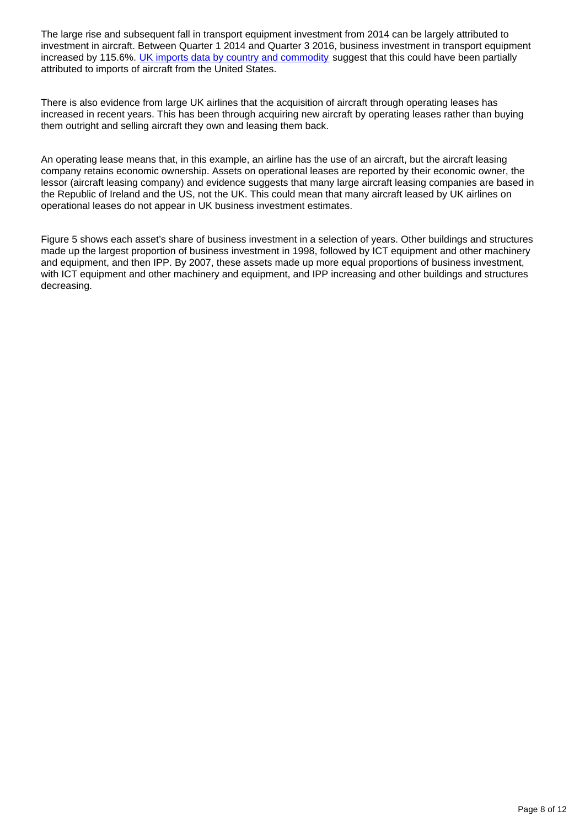The large rise and subsequent fall in transport equipment investment from 2014 can be largely attributed to investment in aircraft. Between Quarter 1 2014 and Quarter 3 2016, business investment in transport equipment increased by 115.6%. [UK imports data by country and commodity](https://www.ons.gov.uk/economy/nationalaccounts/balanceofpayments/datasets/uktradecountrybycommodityimports) suggest that this could have been partially attributed to imports of aircraft from the United States.

There is also evidence from large UK airlines that the acquisition of aircraft through operating leases has increased in recent years. This has been through acquiring new aircraft by operating leases rather than buying them outright and selling aircraft they own and leasing them back.

An operating lease means that, in this example, an airline has the use of an aircraft, but the aircraft leasing company retains economic ownership. Assets on operational leases are reported by their economic owner, the lessor (aircraft leasing company) and evidence suggests that many large aircraft leasing companies are based in the Republic of Ireland and the US, not the UK. This could mean that many aircraft leased by UK airlines on operational leases do not appear in UK business investment estimates.

Figure 5 shows each asset's share of business investment in a selection of years. Other buildings and structures made up the largest proportion of business investment in 1998, followed by ICT equipment and other machinery and equipment, and then IPP. By 2007, these assets made up more equal proportions of business investment, with ICT equipment and other machinery and equipment, and IPP increasing and other buildings and structures decreasing.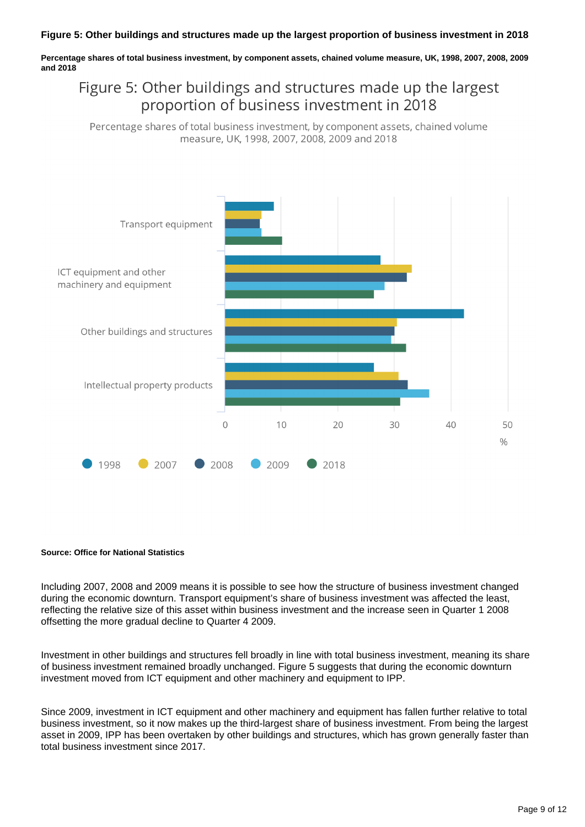**Percentage shares of total business investment, by component assets, chained volume measure, UK, 1998, 2007, 2008, 2009 and 2018**

## Figure 5: Other buildings and structures made up the largest proportion of business investment in 2018

Percentage shares of total business investment, by component assets, chained volume measure, UK, 1998, 2007, 2008, 2009 and 2018



#### **Source: Office for National Statistics**

Including 2007, 2008 and 2009 means it is possible to see how the structure of business investment changed during the economic downturn. Transport equipment's share of business investment was affected the least, reflecting the relative size of this asset within business investment and the increase seen in Quarter 1 2008 offsetting the more gradual decline to Quarter 4 2009.

Investment in other buildings and structures fell broadly in line with total business investment, meaning its share of business investment remained broadly unchanged. Figure 5 suggests that during the economic downturn investment moved from ICT equipment and other machinery and equipment to IPP.

Since 2009, investment in ICT equipment and other machinery and equipment has fallen further relative to total business investment, so it now makes up the third-largest share of business investment. From being the largest asset in 2009, IPP has been overtaken by other buildings and structures, which has grown generally faster than total business investment since 2017.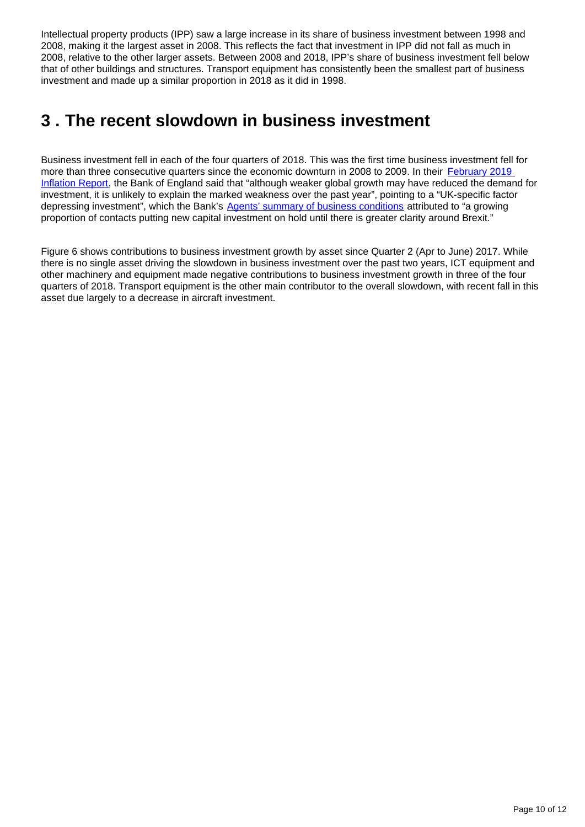Intellectual property products (IPP) saw a large increase in its share of business investment between 1998 and 2008, making it the largest asset in 2008. This reflects the fact that investment in IPP did not fall as much in 2008, relative to the other larger assets. Between 2008 and 2018, IPP's share of business investment fell below that of other buildings and structures. Transport equipment has consistently been the smallest part of business investment and made up a similar proportion in 2018 as it did in 1998.

## <span id="page-9-0"></span>**3 . The recent slowdown in business investment**

Business investment fell in each of the four quarters of 2018. This was the first time business investment fell for more than three consecutive quarters since the economic downturn in 2008 to 2009. In their [February 2019](https://www.bankofengland.co.uk/inflation-report/2019/february-2019)  [Inflation Report](https://www.bankofengland.co.uk/inflation-report/2019/february-2019), the Bank of England said that "although weaker global growth may have reduced the demand for investment, it is unlikely to explain the marked weakness over the past year", pointing to a "UK-specific factor depressing investment", which the Bank's [Agents' summary of business conditions](https://www.bankofengland.co.uk/agents-summary/2018/december-2018) attributed to "a growing proportion of contacts putting new capital investment on hold until there is greater clarity around Brexit."

Figure 6 shows contributions to business investment growth by asset since Quarter 2 (Apr to June) 2017. While there is no single asset driving the slowdown in business investment over the past two years, ICT equipment and other machinery and equipment made negative contributions to business investment growth in three of the four quarters of 2018. Transport equipment is the other main contributor to the overall slowdown, with recent fall in this asset due largely to a decrease in aircraft investment.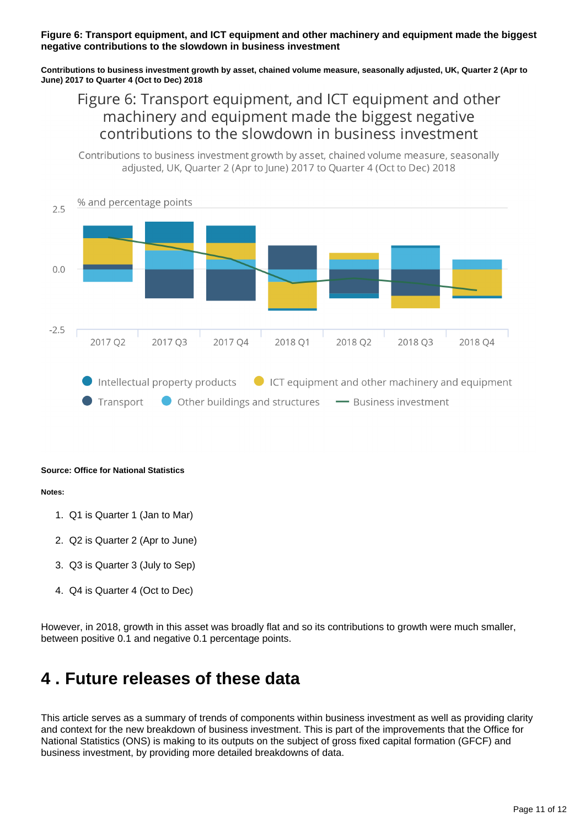#### **Figure 6: Transport equipment, and ICT equipment and other machinery and equipment made the biggest negative contributions to the slowdown in business investment**

**Contributions to business investment growth by asset, chained volume measure, seasonally adjusted, UK, Quarter 2 (Apr to June) 2017 to Quarter 4 (Oct to Dec) 2018**

### Figure 6: Transport equipment, and ICT equipment and other machinery and equipment made the biggest negative contributions to the slowdown in business investment

Contributions to business investment growth by asset, chained volume measure, seasonally adjusted, UK, Ouarter 2 (Apr to lune) 2017 to Ouarter 4 (Oct to Dec) 2018



#### **Source: Office for National Statistics**

#### **Notes:**

- 1. Q1 is Quarter 1 (Jan to Mar)
- 2. Q2 is Quarter 2 (Apr to June)
- 3. Q3 is Quarter 3 (July to Sep)
- 4. Q4 is Quarter 4 (Oct to Dec)

However, in 2018, growth in this asset was broadly flat and so its contributions to growth were much smaller, between positive 0.1 and negative 0.1 percentage points.

## <span id="page-10-0"></span>**4 . Future releases of these data**

This article serves as a summary of trends of components within business investment as well as providing clarity and context for the new breakdown of business investment. This is part of the improvements that the Office for National Statistics (ONS) is making to its outputs on the subject of gross fixed capital formation (GFCF) and business investment, by providing more detailed breakdowns of data.